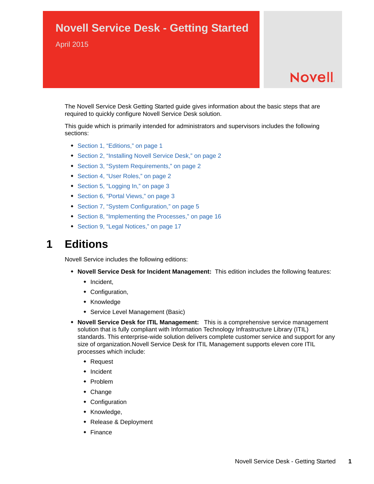## **Novell Service Desk - Getting Started**

April 2015

# **Novell**

The Novell Service Desk Getting Started guide gives information about the basic steps that are required to quickly configure Novell Service Desk solution.

This guide which is primarily intended for administrators and supervisors includes the following sections:

- [Section 1, "Editions," on page 1](#page-0-0)
- [Section 2, "Installing Novell Service Desk," on page 2](#page-1-0)
- [Section 3, "System Requirements," on page 2](#page-1-1)
- [Section 4, "User Roles," on page 2](#page-1-2)
- [Section 5, "Logging In," on page 3](#page-2-0)
- [Section 6, "Portal Views," on page 3](#page-2-1)
- [Section 7, "System Configuration," on page 5](#page-4-0)
- [Section 8, "Implementing the Processes," on page 16](#page-15-0)
- [Section 9, "Legal Notices," on page 17](#page-16-0)

### <span id="page-0-0"></span>**1 Editions**

Novell Service includes the following editions:

- **Novell Service Desk for Incident Management:** This edition includes the following features:
	- Incident,
	- Configuration,
	- Knowledge
	- Service Level Management (Basic)
- **Novell Service Desk for ITIL Management:** This is a comprehensive service management solution that is fully compliant with Information Technology Infrastructure Library (ITIL) standards. This enterprise-wide solution delivers complete customer service and support for any size of organization.Novell Service Desk for ITIL Management supports eleven core ITIL processes which include:
	- Request
	- Incident
	- Problem
	- Change
	- Configuration
	- Knowledge,
	- Release & Deployment
	- Finance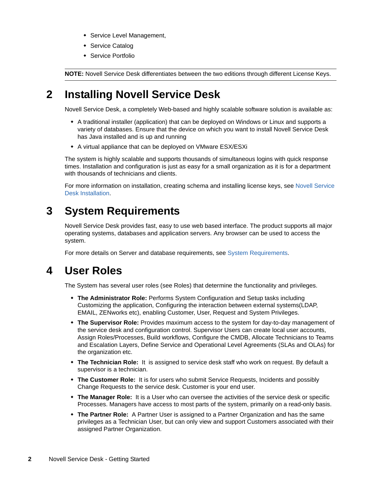- **\*** Service Level Management,
- **\*** Service Catalog
- Service Portfolio

**NOTE:** Novell Service Desk differentiates between the two editions through different License Keys.

## <span id="page-1-0"></span>**2 Installing Novell Service Desk**

Novell Service Desk, a completely Web-based and highly scalable software solution is available as:

- A traditional installer (application) that can be deployed on Windows or Linux and supports a variety of databases. Ensure that the device on which you want to install Novell Service Desk has Java installed and is up and running
- A virtual appliance that can be deployed on VMware ESX/ESXi

The system is highly scalable and supports thousands of simultaneous logins with quick response times. Installation and configuration is just as easy for a small organization as it is for a department with thousands of technicians and clients.

For more information on installation, creating schema and installing license keys, see [Novell Service](https://www.novell.com/documentation/servicedesk71/novell_service_desk_installation/data/bookinfo.html)  [Desk Installation](https://www.novell.com/documentation/servicedesk71/novell_service_desk_installation/data/bookinfo.html).

## <span id="page-1-1"></span>**3 System Requirements**

Novell Service Desk provides fast, easy to use web based interface. The product supports all major operating systems, databases and application servers. Any browser can be used to access the system.

For more details on Server and database requirements, see [System Requirements.](https://www.novell.com/documentation/servicedesk71/pdfdoc/novell_service_desk_installation/novell_service_desk_installation.pdf#bon1pl1)

## <span id="page-1-2"></span>**4 User Roles**

The System has several user roles (see Roles) that determine the functionality and privileges.

- **The Administrator Role:** Performs System Configuration and Setup tasks including Customizing the application, Configuring the interaction between external systems(LDAP, EMAIL, ZENworks etc), enabling Customer, User, Request and System Privileges.
- **The Supervisor Role:** Provides maximum access to the system for day-to-day management of the service desk and configuration control. Supervisor Users can create local user accounts, Assign Roles/Processes, Build workflows, Configure the CMDB, Allocate Technicians to Teams and Escalation Layers, Define Service and Operational Level Agreements (SLAs and OLAs) for the organization etc.
- **The Technician Role:** It is assigned to service desk staff who work on request. By default a supervisor is a technician.
- **The Customer Role:** It is for users who submit Service Requests, Incidents and possibly Change Requests to the service desk. Customer is your end user.
- **The Manager Role:** It is a User who can oversee the activities of the service desk or specific Processes. Managers have access to most parts of the system, primarily on a read-only basis.
- **The Partner Role:** A Partner User is assigned to a Partner Organization and has the same privileges as a Technician User, but can only view and support Customers associated with their assigned Partner Organization.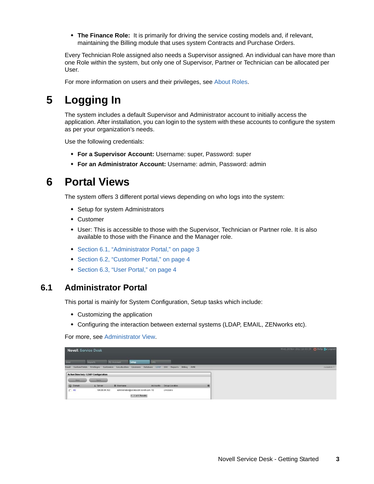**The Finance Role:** It is primarily for driving the service costing models and, if relevant, maintaining the Billing module that uses system Contracts and Purchase Orders.

Every Technician Role assigned also needs a Supervisor assigned. An individual can have more than one Role within the system, but only one of Supervisor, Partner or Technician can be allocated per User.

For more information on users and their privileges, see [About Roles](https://www.novell.com/documentation/servicedesk71/pdfdoc/admin/admin.pdf#b127s4co).

## <span id="page-2-0"></span>**5 Logging In**

The system includes a default Supervisor and Administrator account to initially access the application. After installation, you can login to the system with these accounts to configure the system as per your organization's needs.

Use the following credentials:

- **For a Supervisor Account:** Username: super, Password: super
- **For an Administrator Account:** Username: admin, Password: admin

## <span id="page-2-1"></span>**6 Portal Views**

The system offers 3 different portal views depending on who logs into the system:

- Setup for system Administrators
- Customer
- User: This is accessible to those with the Supervisor, Technician or Partner role. It is also available to those with the Finance and the Manager role.
- [Section 6.1, "Administrator Portal," on page 3](#page-2-2)
- [Section 6.2, "Customer Portal," on page 4](#page-3-0)
- ◆ [Section 6.3, "User Portal," on page 4](#page-3-1)

#### <span id="page-2-2"></span>**6.1 Administrator Portal**

This portal is mainly for System Configuration, Setup tasks which include:

- Customizing the application
- Configuring the interaction between external systems (LDAP, EMAIL, ZENworks etc).

For more, see [Administrator View](https://www.novell.com/documentation/servicedesk71/pdfdoc/admin/admin.pdf#c000064).

| <b>Novell</b> . Service Desk          |                                                                                                         |                            |   | Wed, 20 Nov 2012 16:03:39 O Help C Logout |
|---------------------------------------|---------------------------------------------------------------------------------------------------------|----------------------------|---|-------------------------------------------|
|                                       |                                                                                                         |                            |   |                                           |
| <b>Beports</b><br><b>Uther</b>        | <b>Setup</b><br><b>Ry Account</b>                                                                       | CH3                        |   |                                           |
|                                       | Email Custom Fields Privileges Customize Localization Licenses Database LDAP \$\$0 Reports Billing AMIE |                            |   | nsdadnin 1                                |
| Active Directory / LDAP Configuration |                                                                                                         |                            |   |                                           |
| <b>BAM</b>                            | Sync                                                                                                    |                            |   |                                           |
| Q Domain                              | A Server<br>Usernane                                                                                    | Group Location<br>Accounts | 羅 |                                           |
| $\Box$ AD                             | 164.99.94.163<br>administrator@sdJabs.bk.novell.com 10<br>1-1 of 1 Results                              | cn=Uters                   |   |                                           |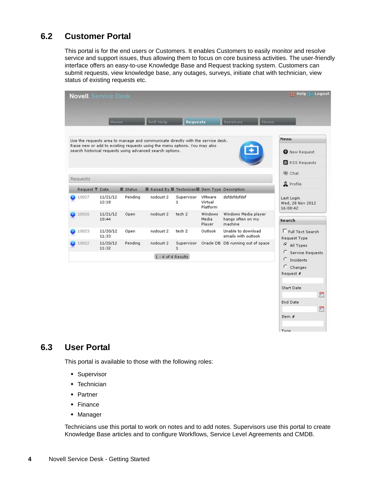#### <span id="page-3-0"></span>**6.2 Customer Portal**

This portal is for the end users or Customers. It enables Customers to easily monitor and resolve service and support issues, thus allowing them to focus on core business activities. The user-friendly interface offers an easy-to-use Knowledge Base and Request tracking system. Customers can submit requests, view knowledge base, any outages, surveys, initiate chat with technician, view status of existing requests etc.

|                 | Home              |          | Self Help                                                                                                                                                                                                                  | <b>Requests</b>            |                               | Services                                             | <b>Items</b>                                                                                                                               |
|-----------------|-------------------|----------|----------------------------------------------------------------------------------------------------------------------------------------------------------------------------------------------------------------------------|----------------------------|-------------------------------|------------------------------------------------------|--------------------------------------------------------------------------------------------------------------------------------------------|
|                 |                   |          | Use the requests area to manage and communicate directly with the service desk.<br>Raise new or add to existing requests using the menu options. You may also<br>search historical requests using advanced search options. |                            |                               |                                                      | Menu<br><b>O</b> New Request<br>RSS Requests                                                                                               |
| <b>Requests</b> |                   |          |                                                                                                                                                                                                                            |                            |                               |                                                      | Chat                                                                                                                                       |
| Request ₹ Date  |                   | ■ Status | <b>E</b> Raised By <b>E</b> Technician II Item Type Description                                                                                                                                                            |                            |                               |                                                      | & Profile                                                                                                                                  |
| 10027           | 11/21/12<br>12:18 | Pending  | nsdcust 2                                                                                                                                                                                                                  | Supervisor<br>$\mathbf{1}$ | VMware<br>Virtual<br>Platform | dsfdsfdsfdsf                                         | Last Login<br>Wed, 28 Nov 2012<br>16:08:42                                                                                                 |
| 10026           | 11/21/12<br>10:44 | Open     | nsdcust 2                                                                                                                                                                                                                  | tech 2                     | Windows<br>Media<br>Player    | Windows Media player<br>hangs often on my<br>machine | Search                                                                                                                                     |
| 10023           | 11/20/12<br>11:33 | Open     | nsdcust 2                                                                                                                                                                                                                  | tech 2                     | Outlook                       | Unable to download<br>emails with outlook            | Full Text Search<br>Request Type                                                                                                           |
| 10022           | 11/20/12<br>11:32 | Pending  | nsdcust 2                                                                                                                                                                                                                  | Supervisor<br>$\mathbf{1}$ |                               | Oracle DB DB running out of space                    | $\epsilon$<br>All Types                                                                                                                    |
|                 |                   |          | $1 - 4$ of $4$ Results                                                                                                                                                                                                     |                            |                               |                                                      | Service Requests<br>C<br>Incidents<br>$\circ$<br>Changes<br>Request #<br><b>Start Date</b><br>$\frac{1}{2}$<br>End Date<br>$\frac{99}{16}$ |

Item  $#$ 

Type

#### <span id="page-3-1"></span>**6.3 User Portal**

This portal is available to those with the following roles:

- **\*** Supervisor
- **+** Technician
- Partner
- $\leftarrow$  Finance
- Manager

Technicians use this portal to work on notes and to add notes. Supervisors use this portal to create Knowledge Base articles and to configure Workflows, Service Level Agreements and CMDB.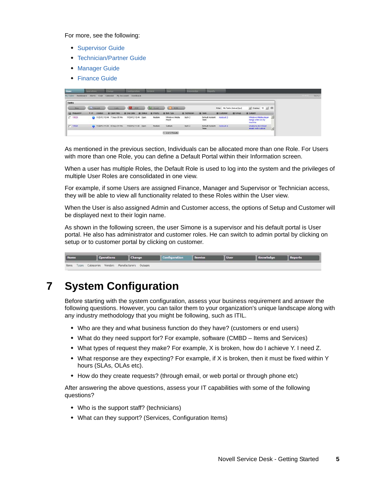For more, see the following:

- **[Supervisor Guide](https://www.novell.com/documentation/servicedesk71/pdfdoc/user/user.pdf#chapter2)**
- [Technician/Partner Guide](https://www.novell.com/documentation/servicedesk71/pdfdoc/user/user.pdf#chapter3)
- [Manager Guide](https://www.novell.com/documentation/servicedesk71/pdfdoc/user/user.pdf#chapter4)
- [Finance Guide](https://www.novell.com/documentation/servicedesk71/pdfdoc/user/user.pdf#chapter5)

| Home               | Operations       |                | Grange                       | Configuration       |                 | Service -         | <b>User</b>            | Knowledge           | <b>Beports</b>          |                                 |       |                                                      |   |                 |
|--------------------|------------------|----------------|------------------------------|---------------------|-----------------|-------------------|------------------------|---------------------|-------------------------|---------------------------------|-------|------------------------------------------------------|---|-----------------|
| <b>Phil Tasks</b>  | <b>Dashboard</b> | Alerts Chat    | Calendar                     | Hy Account Feedback |                 |                   |                        |                     |                         |                                 |       |                                                      |   | 11111<br>tech 2 |
| <b>Tasks</b>       |                  |                |                              |                     |                 |                   |                        |                     |                         |                                 |       |                                                      |   |                 |
| New.               |                  | <b>Stearch</b> | <b>Ainh</b>                  | 8 S.U<br>ppe        |                 | and Greenly       | œ.<br><b>U. REEL</b>   |                     |                         | Filter: My Tasks (Active) [tys] |       | $\bullet$ Display: 10 $\bullet$ $\circ$              |   |                 |
| <b>Q</b> Request # | V(P)             | Created        | Coon Time                    | <b>E</b> Due Date   | <b>B</b> Status | <b>E Priority</b> | <b>E</b> ten iyoe      | <b>E Technician</b> | <b>III</b> Town         | <b>E Customer</b>               | Group | 图 Subject                                            |   |                 |
| $\Gamma$ 10026     |                  |                | 11/21/1210:44 7 Days 05 Hrs  | 11/24/12 10:44 Open |                 | Medium            | Wndows Media<br>Player | tech 2              | Detaut incident<br>Team | nodoust 2                       |       | Windows Media player<br>hangs often on my<br>mechine | 킈 |                 |
| $\Gamma$ 10023     |                  |                | 11/20/12 11:33 8 Days 04 Hrs | 11/23/12 11:33 Open |                 | Medium            | Outlook                | tech 2              | Detaut incident<br>Team | nedount 2                       |       | <b>Unable to download</b><br>emails with outlook     | 뵈 |                 |
|                    |                  |                |                              |                     |                 |                   | $1 - 2$ of $2$ Results |                     |                         |                                 |       |                                                      |   |                 |

As mentioned in the previous section, Individuals can be allocated more than one Role. For Users with more than one Role, you can define a Default Portal within their Information screen.

When a user has multiple Roles, the Default Role is used to log into the system and the privileges of multiple User Roles are consolidated in one view.

For example, if some Users are assigned Finance, Manager and Supervisor or Technician access, they will be able to view all functionality related to these Roles within the User view.

When the User is also assigned Admin and Customer access, the options of Setup and Customer will be displayed next to their login name.

As shown in the following screen, the user Simone is a supervisor and his default portal is User portal. He also has administrator and customer roles. He can switch to admin portal by clicking on setup or to customer portal by clicking on customer.

| Home | <b>Operations</b>                                    | Change | Configuration Service | <b>User</b> | Knowledge | <b>Reports</b> |
|------|------------------------------------------------------|--------|-----------------------|-------------|-----------|----------------|
|      | Items Types Categories Vendors Manufacturers Outages |        |                       |             |           |                |

## <span id="page-4-0"></span>**7 System Configuration**

Before starting with the system configuration, assess your business requirement and answer the following questions. However, you can tailor them to your organization's unique landscape along with any industry methodology that you might be following, such as ITIL.

- Who are they and what business function do they have? (customers or end users)
- What do they need support for? For example, software (CMBD Items and Services)
- What types of request they make? For example, X is broken, how do I achieve Y. I need Z.
- $\bullet$  What response are they expecting? For example, if X is broken, then it must be fixed within Y hours (SLAs, OLAs etc).
- How do they create requests? (through email, or web portal or through phone etc)

After answering the above questions, assess your IT capabilities with some of the following questions?

- Who is the support staff? (technicians)
- What can they support? (Services, Configuration Items)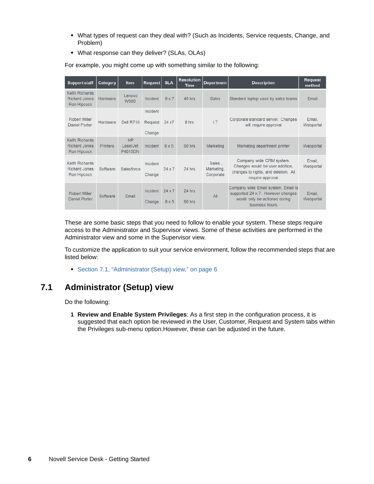- What types of request can they deal with? (Such as Incidents, Service requests, Change, and Problem)
- What response can they deliver? (SLAs, OLAs)

| <b>Support staff</b>                                  | Category | <b>Item</b>                      | Request                       | <b>SLA</b>           | <b>Resolution</b><br><b>Time</b> | Department                        | <b>Description</b>                                                                                                          | <b>Request</b><br>method |
|-------------------------------------------------------|----------|----------------------------------|-------------------------------|----------------------|----------------------------------|-----------------------------------|-----------------------------------------------------------------------------------------------------------------------------|--------------------------|
| Keith Richards<br><b>Richard Jones</b><br>Ron Hipcock | Hardware | Lenovo<br>W500                   | Incident                      | 8 x 7                | 40 hrs                           | Sales                             | Standard laptop used by sales teams                                                                                         | Email                    |
| Robert Miller<br>Daniel Porter                        | Hardware | <b>Dell R710</b>                 | Incident<br>Request<br>Change | 24 x7                | 8 hrs                            | LT                                | Corporate standard server. Changes<br>will require approval                                                                 | Email.<br>Webportal      |
| Keith Richards<br><b>Richard Jones</b><br>Ron Hipcock | Printers | <b>HP</b><br>LaserJet<br>P4015DN | Incident                      | 8x5                  | 60 hrs                           | Marketing                         | Marketing department printer                                                                                                | Webportal                |
| Keith Richards<br>Richard Jones<br>Ron Hipcock        | Software | Salesforce                       | Incident<br>Change            | $24 \times 7$        | 24 hrs                           | Sales.<br>Marketing,<br>Corporate | Company wide CRM system.<br>Changes would be user addition.<br>changes to rights, and deletion. All<br>require approval     | Email.<br>Webportal      |
| Robert Miller<br>Daniel Porter                        | Software | Email                            | Incident<br>Change            | $24 \times 7$<br>8x5 | 24 hrs<br>60 hrs                 | All                               | Company wide Email system. Email is<br>supported 24 x 7. However changes<br>would only be actioned during<br>business hours | Email.<br>Webportal      |

For example, you might come up with something similar to the following:

These are some basic steps that you need to follow to enable your system. These steps require access to the Administrator and Supervisor views. Some of these activities are performed in the Administrator view and some in the Supervisor view.

To customize the application to suit your service environment, follow the recommended steps that are listed below:

[Section 7.1, "Administrator \(Setup\) view," on page 6](#page-5-0)

#### <span id="page-5-0"></span>**7.1 Administrator (Setup) view**

Do the following:

**1 Review and Enable System Privileges**: As a first step in the configuration process, it is suggested that each option be reviewed in the User, Customer, Request and System tabs within the Privileges sub-menu option.However, these can be adjusted in the future.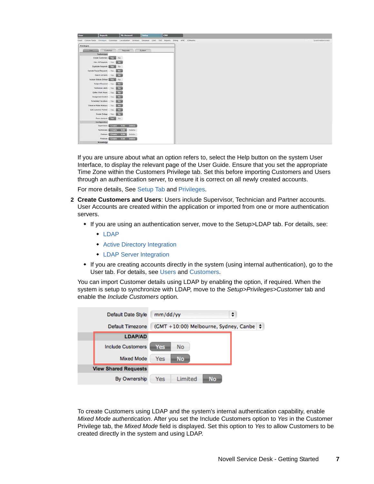| <b>Reports</b><br>Setup<br><b>My Account</b><br>CHS<br>User                                                   |                      |
|---------------------------------------------------------------------------------------------------------------|----------------------|
| Email Coston-Fields Privileges Costonize Localization Licemes Batabase LBAP SSO Reports Billing ANIC ZENworks | System Administrator |
| <b>Privileges</b>                                                                                             |                      |
| <b>System</b><br>Customer<br>Requests<br><b>Start</b>                                                         |                      |
| Technicians                                                                                                   |                      |
| Create Customers <b>Englished</b><br>No:                                                                      |                      |
| Ver At Requests Yes<br>$-Na$                                                                                  |                      |
| Duplicate Requests and Com-<br>140                                                                            |                      |
| Update Closed Requests<br><b>Yes</b><br>- No                                                                  |                      |
| Search All hems<br>$-Na$<br>Yes                                                                               |                      |
| Include Globals Default<br>No.                                                                                |                      |
| $- N\sigma$<br>Subject Required Yes                                                                           |                      |
| Technician Alerts Ves<br>$-M2$                                                                                |                      |
| Define Work Hours Yes<br>M <sub>2</sub>                                                                       |                      |
| Assignment Control Yes                                                                                        |                      |
| <b>No.</b>                                                                                                    |                      |
| Scheduled Vacations Vies antique                                                                              |                      |
| $-10$<br>Observe Public Holdays Yes                                                                           |                      |
| No.<br>Edit Customer Partner<br>Yes                                                                           |                      |
| Create Outage<br>$-10-$<br>Yes-                                                                               |                      |
| Force Analysis <b>ANCES</b><br>No.                                                                            |                      |
| Configuration                                                                                                 |                      |
| Supervisors Create Edit Delete                                                                                |                      |
| Technicum in Create - Edit -<br>Delete                                                                        |                      |
| Partners Correction Lotter<br>Delete                                                                          |                      |
| Finances Create Edit Delete                                                                                   |                      |
| Knowledge                                                                                                     |                      |

If you are unsure about what an option refers to, select the Help button on the system User Interface, to display the relevant page of the User Guide. Ensure that you set the appropriate Time Zone within the Customers Privilege tab. Set this before importing Customers and Users through an authentication server, to ensure it is correct on all newly created accounts.

For more details, See [Setup Tab](https://www.novell.com/documentation/servicedesk71/pdfdoc/admin/admin.pdf#c000094) and [Privileges.](https://www.novell.com/documentation/servicedesk71/pdfdoc/admin/admin.pdf#b127s4w1)

- **2 Create Customers and Users**: Users include Supervisor, Technician and Partner accounts. User Accounts are created within the application or imported from one or more authentication servers.
	- If you are using an authentication server, move to the Setup>LDAP tab. For details, see:
		- ◆ [LDAP](https://www.novell.com/documentation/servicedesk71/pdfdoc/admin/admin.pdf#b127s52e)
		- **[Active Directory Integration](https://www.novell.com/documentation/servicedesk71/pdfdoc/admin/admin.pdf#c000126)**
		- **[LDAP Server Integration](https://www.novell.com/documentation/servicedesk71/pdfdoc/admin/admin.pdf#c000127)**
	- If you are creating accounts directly in the system (using internal authentication), go to the User tab. For details, see [Users](https://www.novell.com/documentation/servicedesk71/pdfdoc/admin/admin.pdf#c000006) and [Customers.](https://www.novell.com/documentation/servicedesk71/pdfdoc/admin/admin.pdf#c000010)

You can import Customer details using LDAP by enabling the option, if required. When the system is setup to synchronize with LDAP, move to the *Setup>Privileges>Customer* tab and enable the *Include Customers* option.

| Default Date Style          | ÷<br>mm/dd/yy                                |
|-----------------------------|----------------------------------------------|
| Default Timezone            | (GMT +10:00) Melbourne, Sydney, Canbe $\div$ |
| <b>LDAP/AD</b>              |                                              |
| <b>Include Customers</b>    | No<br>Yes                                    |
| <b>Mixed Mode</b>           | Yes<br>No.                                   |
| <b>View Shared Requests</b> |                                              |
| By Ownership                | <b>No</b><br>Limited<br>Yes                  |

To create Customers using LDAP and the system's internal authentication capability, enable *Mixed Mode authentication*. After you set the Include Customers option to *Yes* in the Customer Privilege tab, the *Mixed Mode* field is displayed. Set this option to *Yes* to allow Customers to be created directly in the system and using LDAP.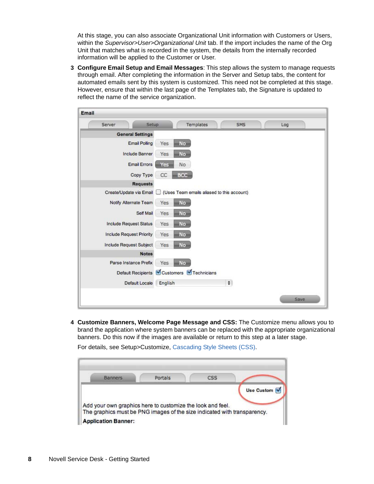At this stage, you can also associate Organizational Unit information with Customers or Users, within the *Supervisor>User>Organizational Unit* tab. If the import includes the name of the Org Unit that matches what is recorded in the system, the details from the internally recorded information will be applied to the Customer or User.

**3 Configure Email Setup and Email Messages**: This step allows the system to manage requests through email. After completing the information in the Server and Setup tabs, the content for automated emails sent by this system is customized. This need not be completed at this stage. However, ensure that within the last page of the Templates tab, the Signature is updated to reflect the name of the service organization.

| Server                          | Templates<br>SMS<br>Setup<br>Log           |
|---------------------------------|--------------------------------------------|
| <b>General Settings</b>         |                                            |
| <b>Email Polling</b>            | <b>No</b><br>Yes                           |
| Include Banner                  | Yes<br>No                                  |
| <b>Email Errors</b>             | No<br>Yes                                  |
| Copy Type                       | CC<br><b>BCC</b>                           |
| <b>Requests</b>                 |                                            |
| Create/Update via Email         | (Uses Team emails aliased to this account) |
| Notify Alternate Team           | Yes<br><b>No</b>                           |
| Self Mail                       | Yes<br><b>No</b>                           |
| <b>Include Request Status</b>   | Yes<br>No                                  |
| <b>Include Request Priority</b> | Yes<br>No                                  |
| Include Request Subject         | Yes<br>No.                                 |
| <b>Notes</b>                    |                                            |
| Parse Instance Prefix           | Yes<br><b>No</b>                           |
| Default Recipients              | Customers Technicians                      |
| Default Locale                  | $\div$<br>English                          |

**4 Customize Banners, Welcome Page Message and CSS:** The Customize menu allows you to brand the application where system banners can be replaced with the appropriate organizational banners. Do this now if the images are available or return to this step at a later stage.

For details, see Setup>Customize, [Cascading Style Sheets \(CSS\)](https://www.novell.com/documentation/servicedesk71/pdfdoc/admin/admin.pdf#cascadingstylesheets).

| Banners | Portals | CSS                                                        |                         |
|---------|---------|------------------------------------------------------------|-------------------------|
|         |         |                                                            | Use Custom <sup>V</sup> |
|         |         |                                                            |                         |
|         |         | Add your own graphics here to customize the look and feel. |                         |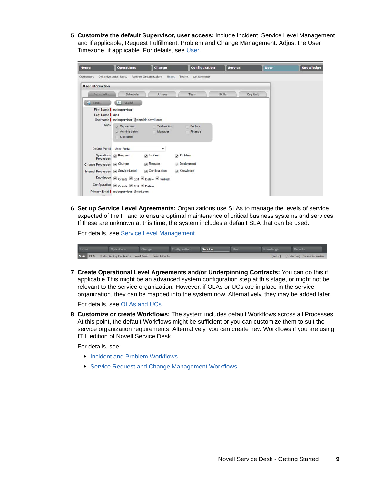**5 Customize the default Supervisor, user access:** Include Incident, Service Level Management and if applicable, Request Fulfillment, Problem and Change Management. Adjust the User Timezone, if applicable. For details, see [User](https://www.novell.com/documentation/servicedesk71/pdfdoc/admin/admin.pdf#c000065).

| Home                               | <b>Operations</b>                                                           | <b>Change</b>                         | <b>Configuration</b>        | <b>Service</b> | <b>User</b> | <b>Knowledge</b> |
|------------------------------------|-----------------------------------------------------------------------------|---------------------------------------|-----------------------------|----------------|-------------|------------------|
| <b>Customers</b>                   | Organizational Units                                                        | Partner Organizations<br><b>Users</b> | <b>Assignments</b><br>Teams |                |             |                  |
| <b>User Information</b>            |                                                                             |                                       |                             |                |             |                  |
| <b>Information</b>                 | Schedule                                                                    | Aliases                               | Team                        | Skills         | Org Unit    |                  |
| Email                              | 1. vCard                                                                    |                                       |                             |                |             |                  |
| Last Name   sup1                   | First Name   nsdsupervisor1<br>Username   nsdsupervisor1@epm.blr.novell.com |                                       |                             |                |             |                  |
| <b>Roles</b>                       | Supervisor<br>$\angle$ Administrator<br>Customer                            | Technician<br>Manager                 | Partner<br>Finance          |                |             |                  |
| Default Portal                     | <b>User Portal</b>                                                          | ۷                                     |                             |                |             |                  |
| <b>Processes</b>                   | Operations / Request                                                        | Incident                              | Problem                     |                |             |                  |
| Change Processes & Change          |                                                                             | Release                               | Deployment                  |                |             |                  |
| Internal Processes & Service Level |                                                                             | $\sqrt{ }$ Configuration              | Knowledge                   |                |             |                  |
|                                    | Knowledge & Create & Edit & Delete & Publish                                |                                       |                             |                |             |                  |
| Configuration                      | Create Edit Delete                                                          |                                       |                             |                |             |                  |
|                                    | Primary Email nsdsupervisor1@nsd.com                                        |                                       |                             |                |             |                  |

**6 Set up Service Level Agreements:** Organizations use SLAs to manage the levels of service expected of the IT and to ensure optimal maintenance of critical business systems and services. If these are unknown at this time, the system includes a default SLA that can be used.

For details, see [Service Level Management](https://www.novell.com/documentation/servicedesk71/pdfdoc/admin/admin.pdf#c000011).

| <b>Home</b> | Operations                                              | Change | Configuration | Service | Knowledge |                                     |  |
|-------------|---------------------------------------------------------|--------|---------------|---------|-----------|-------------------------------------|--|
|             | SLAs OLAs Underpinning Contracts Workflows Breach Codes |        |               |         |           | [Setup] [Customer] Danny Supervisor |  |

**7 Create Operational Level Agreements and/or Underpinning Contracts:** You can do this if applicable.This might be an advanced system configuration step at this stage, or might not be relevant to the service organization. However, if OLAs or UCs are in place in the service organization, they can be mapped into the system now. Alternatively, they may be added later.

For details, see [OLAs and UCs.](https://www.novell.com/documentation/servicedesk71/pdfdoc/admin/admin.pdf#b127s3mz)

**8 Customize or create Workflows:** The system includes default Workflows across all Processes. At this point, the default Workflows might be sufficient or you can customize them to suit the service organization requirements. Alternatively, you can create new Workflows if you are using ITIL edition of Novell Service Desk.

For details, see:

- [Incident and Problem Workflows](https://www.novell.com/documentation/servicedesk71/pdfdoc/admin/admin.pdf#c000019)
- [Service Request and Change Management Workflows](https://www.novell.com/documentation/servicedesk71/pdfdoc/admin/admin.pdf#c000021)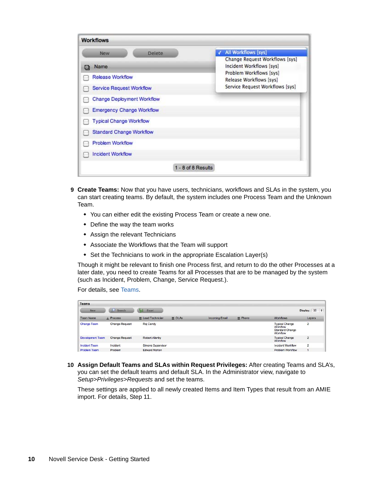| <b>Workflows</b>                    |                                                            |
|-------------------------------------|------------------------------------------------------------|
| Delete<br>New                       | <b>All Workflows [sys]</b>                                 |
| Name                                | Change Request Workflows [sys]<br>Incident Workflows [sys] |
| $\infty$<br><b>Release Workflow</b> | Problem Workflows [sys]<br>Release Workflows [sys]         |
| Service Request Workflow            | Service Request Workflows [sys]                            |
| <b>Change Deployment Workflow</b>   |                                                            |
| <b>Emergency Change Workflow</b>    |                                                            |
| <b>Typical Change Workflow</b>      |                                                            |
| <b>Standard Change Workflow</b>     |                                                            |
| <b>Problem Workflow</b>             |                                                            |
| <b>Incident Workflow</b>            |                                                            |
| 1 - 8 of 8 Results                  |                                                            |

- **9 Create Teams:** Now that you have users, technicians, workflows and SLAs in the system, you can start creating teams. By default, the system includes one Process Team and the Unknown Team.
	- You can either edit the existing Process Team or create a new one.
	- Define the way the team works
	- Assign the relevant Technicians
	- Associate the Workflows that the Team will support
	- Set the Technicians to work in the appropriate Escalation Layer(s)

Though it might be relevant to finish one Process first, and return to do the other Processes at a later date, you need to create Teams for all Processes that are to be managed by the system (such as Incident, Problem, Change, Service Request.).

For details, see [Teams](https://www.novell.com/documentation/servicedesk71/pdfdoc/admin/admin.pdf#c000024).

| <b>Teams</b>         |                       |                      |               |                       |                |                                                                         |                |        |  |
|----------------------|-----------------------|----------------------|---------------|-----------------------|----------------|-------------------------------------------------------------------------|----------------|--------|--|
| <b>New</b>           | Search<br>×           | Excel                |               |                       |                |                                                                         | Display: 10 \$ |        |  |
| <b>Team Name</b>     | A Process             | E Lead Technician    | $\equiv$ OLAs | <b>Incoming Email</b> | $\equiv$ Phone | <b>Workflows</b>                                                        |                | Layers |  |
| <b>Change Team</b>   | <b>Change Request</b> | Raj Candy            |               |                       |                | <b>Typical Change</b><br>Workflow<br><b>Standard Change</b><br>Workflow | $\overline{2}$ |        |  |
| Development Team     | <b>Change Request</b> | Robert Allanby       |               |                       |                | <b>Typical Change</b><br>Workflow                                       | $\overline{2}$ |        |  |
| <b>Incident Team</b> | Incident              | Simone Supervisor    |               |                       |                | Incident Workflow                                                       | $\overline{2}$ |        |  |
| <b>Problem Team</b>  | Problem               | <b>Edward Norton</b> |               |                       |                | Problem Workflow                                                        |                |        |  |

**10 Assign Default Teams and SLAs within Request Privileges:** After creating Teams and SLA's, you can set the default teams and default SLA. In the Administrator view, navigate to *Setup>Privileges>Requests* and set the teams.

These settings are applied to all newly created Items and Item Types that result from an AMIE import. For details, Step 11.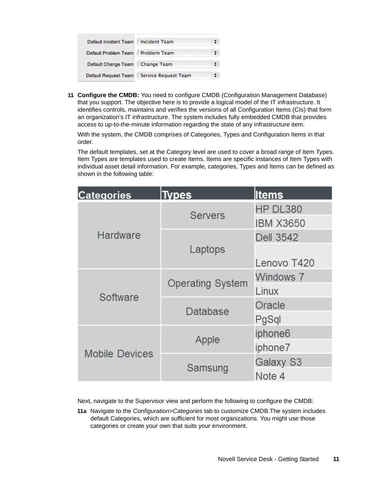| Default Incident Team | <b>Incident Team</b>        |  |
|-----------------------|-----------------------------|--|
| Default Problem Team  | <b>Problem Team</b>         |  |
| Default Change Team   | <b>Change Team</b>          |  |
| Default Request Team  | <b>Service Request Team</b> |  |

**11 Configure the CMDB:** You need to configure CMDB (Configuration Management Database) that you support. The objective here is to provide a logical model of the IT infrastructure. It identifies controls, maintains and verifies the versions of all Configuration Items (CIs) that form an organization's IT infrastructure. The system includes fully embedded CMDB that provides access to up-to-the-minute information regarding the state of any infrastructure item.

With the system, the CMDB comprises of Categories, Types and Configuration Items in that order.

The default templates, set at the Category level are used to cover a broad range of Item Types. Item Types are templates used to create Items. Items are specific instances of Item Types with individual asset detail information. For example, categories, Types and Items can be defined as shown in the following table:

| <b>Categories</b>     | <b>Types</b>            | <b>Items</b>     |
|-----------------------|-------------------------|------------------|
|                       | <b>Servers</b>          | HP DL380         |
|                       |                         | <b>IBM X3650</b> |
| Hardware              |                         | <b>Dell 3542</b> |
|                       | Laptops                 |                  |
|                       |                         | Lenovo T420      |
|                       | <b>Operating System</b> | Windows 7        |
| Software              |                         | Linux            |
|                       | Database                | Oracle           |
|                       |                         | PgSql            |
|                       | Apple                   | iphone6          |
| <b>Mobile Devices</b> |                         | iphone7          |
|                       | Samsung                 | Galaxy S3        |
|                       |                         | Note 4           |

Next, navigate to the Supervisor view and perform the following to configure the CMDB:

**11a** Navigate to the *Configuration>Categories* tab to customize CMDB.The system includes default Categories, which are sufficient for most organizations. You might use those categories or create your own that suits your environment.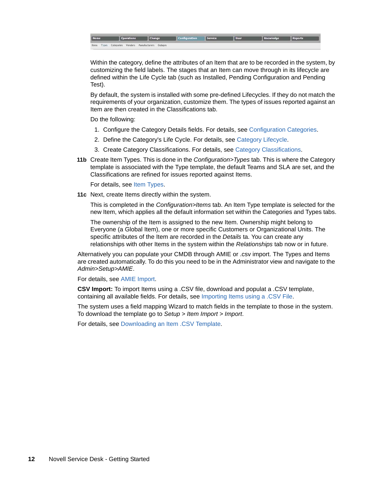| Home |                                                      | Operations Change |  | <b>Configuration</b> Service | User | Knowledge Reports |  |
|------|------------------------------------------------------|-------------------|--|------------------------------|------|-------------------|--|
|      | Items Types Categories Vendors Manufacturers Outages |                   |  |                              |      |                   |  |

Within the category, define the attributes of an Item that are to be recorded in the system, by customizing the field labels. The stages that an Item can move through in its lifecycle are defined within the Life Cycle tab (such as Installed, Pending Configuration and Pending Test).

By default, the system is installed with some pre-defined Lifecycles. If they do not match the requirements of your organization, customize them. The types of issues reported against an Item are then created in the Classifications tab.

Do the following:

- 1. Configure the Category Details fields. For details, see [Configuration Categories.](https://www.novell.com/documentation/servicedesk71/pdfdoc/admin/admin.pdf#c000028)
- 2. Define the Category's Life Cycle. For details, see [Category Lifecycle](https://www.novell.com/documentation/servicedesk71/pdfdoc/admin/admin.pdf#c000034).
- 3. Create Category Classifications. For details, see [Category Classifications.](https://www.novell.com/documentation/servicedesk71/pdfdoc/admin/admin.pdf#c000035)
- **11b** Create Item Types. This is done in the *Configuration>Types* tab. This is where the Category template is associated with the Type template, the default Teams and SLA are set, and the Classifications are refined for issues reported against Items.

For details, see [Item Types.](https://www.novell.com/documentation/servicedesk71/pdfdoc/admin/admin.pdf#c000039)

**11c** Next, create Items directly within the system.

This is completed in the *Configuration>Items* tab. An Item Type template is selected for the new Item, which applies all the default information set within the Categories and Types tabs.

The ownership of the Item is assigned to the new Item. Ownership might belong to Everyone (a Global Item), one or more specific Customers or Organizational Units. The specific attributes of the Item are recorded in the *Details* ta. You can create any relationships with other Items in the system within the *Relationships* tab now or in future.

Alternatively you can populate your CMDB through AMIE or .csv import. The Types and Items are created automatically. To do this you need to be in the Administrator view and navigate to the *Admin>Setup>AMIE*.

For details, see [AMIE Import.](https://www.novell.com/documentation/servicedesk71/pdfdoc/admin/admin.pdf#c000161)

**CSV Import:** To import Items using a .CSV file, download and populat a .CSV template, containing all available fields. For details, see [Importing Items using a .CSV File.](https://www.novell.com/documentation/servicedesk71/pdfdoc/admin/admin.pdf#c000147)

The system uses a field mapping Wizard to match fields in the template to those in the system. To download the template go to *Setup > Item Import > Import*.

For details, see [Downloading an Item .CSV Template](https://www.novell.com/documentation/servicedesk71/pdfdoc/admin/admin.pdf#c000148).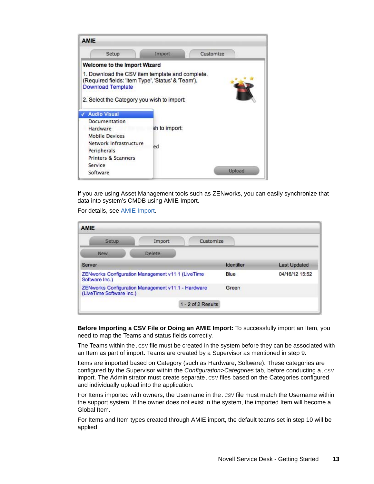

If you are using Asset Management tools such as ZENworks, you can easily synchronize that data into system's CMDB using AMIE Import.

For details, see [AMIE Import.](https://www.novell.com/documentation/servicedesk71/pdfdoc/admin/admin.pdf#c000161)

| <b>AMIE</b>                                                                    |        |                    |            |                     |
|--------------------------------------------------------------------------------|--------|--------------------|------------|---------------------|
| <b>Setup</b>                                                                   | Import | Customize          |            |                     |
| <b>New</b>                                                                     | Delete |                    |            |                     |
| Server                                                                         |        |                    | Identifier | <b>Last Updated</b> |
| ZENworks Configuration Management v11.1 (LiveTime<br>Software Inc.)            |        |                    | Blue       | 04/16/12 15:52      |
| ZENworks Configuration Management v11.1 - Hardware<br>(LiveTime Software Inc.) |        |                    | Green      |                     |
|                                                                                |        | 1 - 2 of 2 Results |            |                     |

**Before Importing a CSV File or Doing an AMIE Import:** To successfully import an Item, you need to map the Teams and status fields correctly.

The Teams within the. CSV file must be created in the system before they can be associated with an Item as part of import. Teams are created by a Supervisor as mentioned in step 9.

Items are imported based on Category (such as Hardware, Software). These categories are configured by the Supervisor within the *Configuration>Categories* tab, before conducting a. CSV import. The Administrator must create separate. CSV files based on the Categories configured and individually upload into the application.

For Items imported with owners, the Username in the.CSV file must match the Username within the support system. If the owner does not exist in the system, the imported Item will become a Global Item.

For Items and Item types created through AMIE import, the default teams set in step 10 will be applied.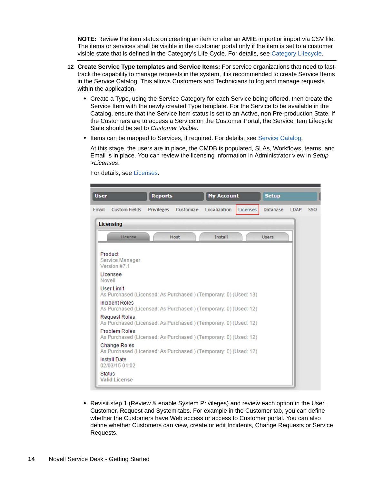**NOTE:** Review the item status on creating an item or after an AMIE import or import via CSV file. The items or services shall be visible in the customer portal only if the item is set to a customer visible state that is defined in the Category's Life Cycle. For details, see [Category Lifecycle.](https://www.novell.com/documentation/servicedesk71/pdfdoc/admin/admin.pdf#c000034)

- **12 Create Service Type templates and Service Items:** For service organizations that need to fasttrack the capability to manage requests in the system, it is recommended to create Service Items in the Service Catalog. This allows Customers and Technicians to log and manage requests within the application.
	- Create a Type, using the Service Category for each Service being offered, then create the Service Item with the newly created Type template. For the Service to be available in the Catalog, ensure that the Service Item status is set to an Active, non Pre-production State. If the Customers are to access a Service on the Customer Portal, the Service Item Lifecycle State should be set to *Customer Visible*.
	- Items can be mapped to Services, if required. For details, see [Service Catalog](https://www.novell.com/documentation/servicedesk71/pdfdoc/admin/admin.pdf#c000036).

At this stage, the users are in place, the CMDB is populated, SLAs, Workflows, teams, and Email is in place. You can review the licensing information in Administrator view in *Setup >Licenses*.

**User Reports My Account Setup** Licenses Email Custom Fields Privileges Customize Localization Database LDAP SSO **Licensing** Install Users License Host Product Service Manager Version #7.1 Licensee Novell **User Limit** As Purchased (Licensed: As Purchased) (Temporary: 0) (Used: 13) **Incident Roles** As Purchased (Licensed: As Purchased) (Temporary: 0) (Used: 12) **Request Roles** As Purchased (Licensed: As Purchased) (Temporary: 0) (Used: 12) **Problem Roles** As Purchased (Licensed: As Purchased) (Temporary: 0) (Used: 12) **Change Roles** As Purchased (Licensed: As Purchased) (Temporary: 0) (Used: 12) **Install Date** 02/03/15 01:02 **Status Valid License** 

For details, see [Licenses](https://www.novell.com/documentation/servicedesk71/pdfdoc/admin/admin.pdf#licenses).

 Revisit step 1 (Review & enable System Privileges) and review each option in the User, Customer, Request and System tabs. For example in the Customer tab, you can define whether the Customers have Web access or access to Customer portal. You can also define whether Customers can view, create or edit Incidents, Change Requests or Service Requests.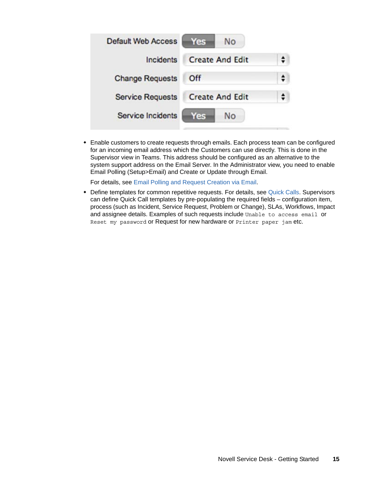| <b>Default Web Access</b> | <b>No</b><br>Yes       |  |
|---------------------------|------------------------|--|
| Incidents                 | <b>Create And Edit</b> |  |
| <b>Change Requests</b>    | Off                    |  |
| <b>Service Requests</b>   | <b>Create And Edit</b> |  |
| Service Incidents         | <b>No</b><br>es)       |  |

 Enable customers to create requests through emails. Each process team can be configured for an incoming email address which the Customers can use directly. This is done in the Supervisor view in Teams. This address should be configured as an alternative to the system support address on the Email Server. In the Administrator view, you need to enable Email Polling (Setup>Email) and Create or Update through Email.

For details, see [Email Polling and Request Creation via Email](https://www.novell.com/documentation/servicedesk71/pdfdoc/admin/admin.pdf#c000158).

 Define templates for common repetitive requests. For details, see [Quick Calls.](https://www.novell.com/documentation/servicedesk71/pdfdoc/user/user.pdf#c000059) Supervisors can define Quick Call templates by pre-populating the required fields – configuration item, process (such as Incident, Service Request, Problem or Change), SLAs, Workflows, Impact and assignee details. Examples of such requests include Unable to access email or Reset my password or Request for new hardware or Printer paper jam etc.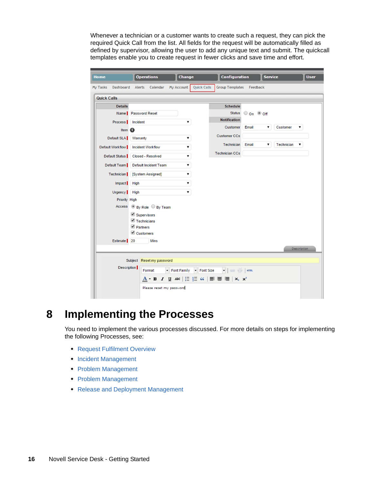Whenever a technician or a customer wants to create such a request, they can pick the required Quick Call from the list. All fields for the request will be automatically filled as defined by supervisor, allowing the user to add any unique text and submit. The quickcall templates enable you to create request in fewer clicks and save time and effort.

| <b>Quick Calls</b><br>Group Templates Feedback<br>My Tasks Dashboard<br>Alerts Calendar My Account<br><b>Details</b><br><b>Schedule</b><br><b>Status</b><br>O on O off<br>Name Password Reset<br><b>Notification</b><br>Process   Incident<br>۷.<br>Customer<br>Email<br>Customer<br>7<br>۷.<br>Item <sup>6</sup><br><b>Customer CCs</b><br>Default SLA Warranty<br>۷.<br><b>Technician</b><br><b>Technician</b> Email<br>7<br>▼<br>Default Workflow   Incident Workflow<br>▼<br><b>Technician CCs</b><br>Default Status   Closed - Resolved<br>▼<br>Default Team Default Incident Team<br>7<br>۷.<br>Technician [System Assigned]<br>Impact High<br>7<br>Urgency High<br>7<br>Priority High<br>Access <sup>®</sup> By Role <sup>©</sup> By Team<br>Supervisors<br>$\blacksquare$ Technicians<br>Partners<br>Customers<br>Estimate 20<br><b>Mins</b> | <b>Description</b><br>Subject Reset my password<br><b>Description</b><br>Font Family Font Size<br>Format<br>$\underline{A}$ $\cdot$ B $I$ $\underline{U}$ ABC $ \vdots \vdots $ $G$ $ \equiv$ $\equiv$ $\equiv$ $ \equiv$ $x$ , $x$ | Home | <b>Operations</b><br><b>Change</b> | <b>Configuration</b> | <b>Service</b> | <b>User</b> |
|------------------------------------------------------------------------------------------------------------------------------------------------------------------------------------------------------------------------------------------------------------------------------------------------------------------------------------------------------------------------------------------------------------------------------------------------------------------------------------------------------------------------------------------------------------------------------------------------------------------------------------------------------------------------------------------------------------------------------------------------------------------------------------------------------------------------------------------------------|-------------------------------------------------------------------------------------------------------------------------------------------------------------------------------------------------------------------------------------|------|------------------------------------|----------------------|----------------|-------------|
| <b>Quick Calls</b>                                                                                                                                                                                                                                                                                                                                                                                                                                                                                                                                                                                                                                                                                                                                                                                                                                   |                                                                                                                                                                                                                                     |      |                                    |                      |                |             |
|                                                                                                                                                                                                                                                                                                                                                                                                                                                                                                                                                                                                                                                                                                                                                                                                                                                      |                                                                                                                                                                                                                                     |      |                                    |                      |                |             |
|                                                                                                                                                                                                                                                                                                                                                                                                                                                                                                                                                                                                                                                                                                                                                                                                                                                      |                                                                                                                                                                                                                                     |      |                                    |                      |                |             |
|                                                                                                                                                                                                                                                                                                                                                                                                                                                                                                                                                                                                                                                                                                                                                                                                                                                      |                                                                                                                                                                                                                                     |      |                                    |                      |                |             |
|                                                                                                                                                                                                                                                                                                                                                                                                                                                                                                                                                                                                                                                                                                                                                                                                                                                      |                                                                                                                                                                                                                                     |      |                                    |                      |                |             |
|                                                                                                                                                                                                                                                                                                                                                                                                                                                                                                                                                                                                                                                                                                                                                                                                                                                      |                                                                                                                                                                                                                                     |      |                                    |                      |                |             |
|                                                                                                                                                                                                                                                                                                                                                                                                                                                                                                                                                                                                                                                                                                                                                                                                                                                      |                                                                                                                                                                                                                                     |      |                                    |                      |                |             |
|                                                                                                                                                                                                                                                                                                                                                                                                                                                                                                                                                                                                                                                                                                                                                                                                                                                      |                                                                                                                                                                                                                                     |      |                                    |                      |                |             |
|                                                                                                                                                                                                                                                                                                                                                                                                                                                                                                                                                                                                                                                                                                                                                                                                                                                      |                                                                                                                                                                                                                                     |      |                                    |                      |                |             |
|                                                                                                                                                                                                                                                                                                                                                                                                                                                                                                                                                                                                                                                                                                                                                                                                                                                      |                                                                                                                                                                                                                                     |      |                                    |                      |                |             |
|                                                                                                                                                                                                                                                                                                                                                                                                                                                                                                                                                                                                                                                                                                                                                                                                                                                      |                                                                                                                                                                                                                                     |      |                                    |                      |                |             |
|                                                                                                                                                                                                                                                                                                                                                                                                                                                                                                                                                                                                                                                                                                                                                                                                                                                      |                                                                                                                                                                                                                                     |      |                                    |                      |                |             |
|                                                                                                                                                                                                                                                                                                                                                                                                                                                                                                                                                                                                                                                                                                                                                                                                                                                      |                                                                                                                                                                                                                                     |      |                                    |                      |                |             |
|                                                                                                                                                                                                                                                                                                                                                                                                                                                                                                                                                                                                                                                                                                                                                                                                                                                      |                                                                                                                                                                                                                                     |      |                                    |                      |                |             |
|                                                                                                                                                                                                                                                                                                                                                                                                                                                                                                                                                                                                                                                                                                                                                                                                                                                      |                                                                                                                                                                                                                                     |      |                                    |                      |                |             |
|                                                                                                                                                                                                                                                                                                                                                                                                                                                                                                                                                                                                                                                                                                                                                                                                                                                      |                                                                                                                                                                                                                                     |      |                                    |                      |                |             |
|                                                                                                                                                                                                                                                                                                                                                                                                                                                                                                                                                                                                                                                                                                                                                                                                                                                      |                                                                                                                                                                                                                                     |      |                                    |                      |                |             |
|                                                                                                                                                                                                                                                                                                                                                                                                                                                                                                                                                                                                                                                                                                                                                                                                                                                      |                                                                                                                                                                                                                                     |      |                                    |                      |                |             |
|                                                                                                                                                                                                                                                                                                                                                                                                                                                                                                                                                                                                                                                                                                                                                                                                                                                      |                                                                                                                                                                                                                                     |      |                                    |                      |                |             |
|                                                                                                                                                                                                                                                                                                                                                                                                                                                                                                                                                                                                                                                                                                                                                                                                                                                      |                                                                                                                                                                                                                                     |      |                                    |                      |                |             |
|                                                                                                                                                                                                                                                                                                                                                                                                                                                                                                                                                                                                                                                                                                                                                                                                                                                      |                                                                                                                                                                                                                                     |      |                                    |                      |                |             |
|                                                                                                                                                                                                                                                                                                                                                                                                                                                                                                                                                                                                                                                                                                                                                                                                                                                      |                                                                                                                                                                                                                                     |      |                                    |                      |                |             |
|                                                                                                                                                                                                                                                                                                                                                                                                                                                                                                                                                                                                                                                                                                                                                                                                                                                      |                                                                                                                                                                                                                                     |      |                                    |                      |                |             |
|                                                                                                                                                                                                                                                                                                                                                                                                                                                                                                                                                                                                                                                                                                                                                                                                                                                      |                                                                                                                                                                                                                                     |      |                                    |                      |                |             |
|                                                                                                                                                                                                                                                                                                                                                                                                                                                                                                                                                                                                                                                                                                                                                                                                                                                      |                                                                                                                                                                                                                                     |      |                                    |                      |                |             |
|                                                                                                                                                                                                                                                                                                                                                                                                                                                                                                                                                                                                                                                                                                                                                                                                                                                      | Please reset my password                                                                                                                                                                                                            |      |                                    |                      |                |             |

## <span id="page-15-0"></span>**8 Implementing the Processes**

You need to implement the various processes discussed. For more details on steps for implementing the following Processes, see:

- [Request Fulfilment Overview](https://www.novell.com/documentation/servicedesk71/pdfdoc/admin/admin.pdf#c000050)
- [Incident Management](https://www.novell.com/documentation/servicedesk71/pdfdoc/admin/admin.pdf#c000052)
- [Problem Management](https://www.novell.com/documentation/servicedesk71/pdfdoc/admin/admin.pdf#c000053)
- [Problem Management](https://www.novell.com/documentation/servicedesk71/pdfdoc/admin/admin.pdf#c000053)
- [Release and Deployment Management](https://www.novell.com/documentation/servicedesk71/pdfdoc/admin/admin.pdf#c000055)